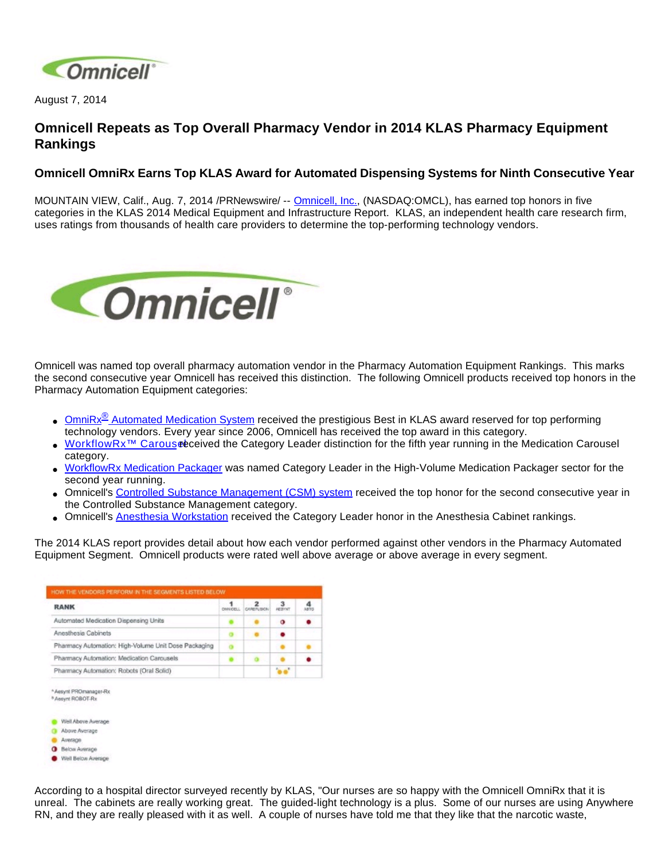

August 7, 2014

## **Omnicell Repeats as Top Overall Pharmacy Vendor in 2014 KLAS Pharmacy Equipment Rankings**

## **Omnicell OmniRx Earns Top KLAS Award for Automated Dispensing Systems for Ninth Consecutive Year**

MOUNTAIN VIEW, Calif., Aug. 7, 2014 /PRNewswire/ -- [Omnicell, Inc.,](http://www.omnicell.com/) (NASDAQ:OMCL), has earned top honors in five categories in the KLAS 2014 Medical Equipment and Infrastructure Report. KLAS, an independent health care research firm, uses ratings from thousands of health care providers to determine the top-performing technology vendors.



Omnicell was named top overall pharmacy automation vendor in the Pharmacy Automation Equipment Rankings. This marks the second consecutive year Omnicell has received this distinction. The following Omnicell products received top honors in the Pharmacy Automation Equipment categories:

- OmniRx<sup>®</sup> [Automated Medication System](http://www.omnicell.com/Products/Medication_Dispensing/Automated_Medication_Dispensing_Cabinets.aspx) received the prestigious Best in KLAS award reserved for top performing technology vendors. Every year since 2006, Omnicell has received the top award in this category.
- WorkflowRx<sup>™</sup> Carouseeceived the Category Leader distinction for the fifth year running in the Medication Carousel category.
- [WorkflowRx Medication Packager](http://www.omnicell.com/Products/Central_Pharmacy_Automation/WorkflowRx_System/Medication_Packager.aspx) was named Category Leader in the High-Volume Medication Packager sector for the second year running.
- Omnicell's [Controlled Substance Management \(CSM\) system](http://www.omnicell.com/Products/Central_Pharmacy_Automation/Controlled_Substance_Management_System.aspx) received the top honor for the second consecutive year in the Controlled Substance Management category.
- Omnicell's [Anesthesia Workstation](http://www.omnicell.com/Products/Medication_Dispensing/Anesthesia_Workstation_G4.aspx) received the Category Leader honor in the Anesthesia Cabinet rankings.

The 2014 KLAS report provides detail about how each vendor performed against other vendors in the Pharmacy Automated Equipment Segment. Omnicell products were rated well above average or above average in every segment.



According to a hospital director surveyed recently by KLAS, "Our nurses are so happy with the Omnicell OmniRx that it is unreal. The cabinets are really working great. The guided-light technology is a plus. Some of our nurses are using Anywhere RN, and they are really pleased with it as well. A couple of nurses have told me that they like that the narcotic waste,